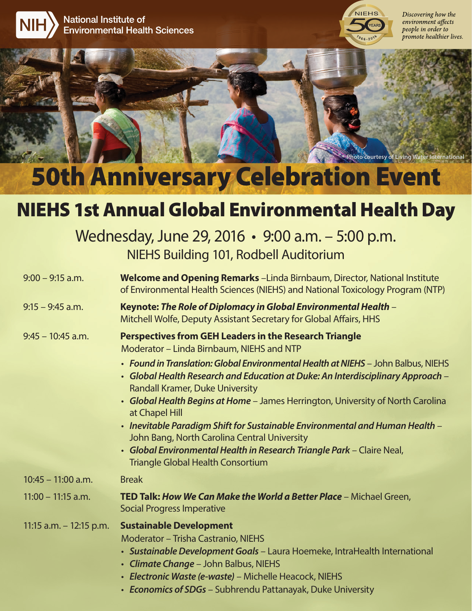



Discovering how the environment affects people in order to promote healthier lives.

**Photo courtesy of Living Water International**

## 50th Anniversary Celebration Event

## NIEHS 1st Annual Global Environmental Health Day

| Wednesday, June 29, 2016 • 9:00 a.m. - 5:00 p.m. |  |
|--------------------------------------------------|--|
| NIEHS Building 101, Rodbell Auditorium           |  |

| $9:00 - 9:15$ a.m.        | <b>Welcome and Opening Remarks</b> - Linda Birnbaum, Director, National Institute<br>of Environmental Health Sciences (NIEHS) and National Toxicology Program (NTP)                                                                                                                                                          |
|---------------------------|------------------------------------------------------------------------------------------------------------------------------------------------------------------------------------------------------------------------------------------------------------------------------------------------------------------------------|
| $9:15 - 9:45$ a.m.        | Keynote: The Role of Diplomacy in Global Environmental Health –<br>Mitchell Wolfe, Deputy Assistant Secretary for Global Affairs, HHS                                                                                                                                                                                        |
| $9:45 - 10:45$ a.m.       | <b>Perspectives from GEH Leaders in the Research Triangle</b><br>Moderator - Linda Birnbaum, NIEHS and NTP<br>• Found in Translation: Global Environmental Health at NIEHS - John Balbus, NIEHS                                                                                                                              |
|                           | • Global Health Research and Education at Duke: An Interdisciplinary Approach –<br><b>Randall Kramer, Duke University</b>                                                                                                                                                                                                    |
|                           | • Global Health Begins at Home - James Herrington, University of North Carolina<br>at Chapel Hill                                                                                                                                                                                                                            |
|                           | • Inevitable Paradigm Shift for Sustainable Environmental and Human Health -                                                                                                                                                                                                                                                 |
|                           | John Bang, North Carolina Central University<br>• Global Environmental Health in Research Triangle Park - Claire Neal,<br><b>Triangle Global Health Consortium</b>                                                                                                                                                           |
| $10:45 - 11:00$ a.m.      | <b>Break</b>                                                                                                                                                                                                                                                                                                                 |
| $11:00 - 11:15$ a.m.      | TED Talk: How We Can Make the World a Better Place - Michael Green,<br><b>Social Progress Imperative</b>                                                                                                                                                                                                                     |
| 11:15 a.m. $-$ 12:15 p.m. | <b>Sustainable Development</b><br><b>Moderator - Trisha Castranio, NIEHS</b><br>• Sustainable Development Goals - Laura Hoemeke, IntraHealth International<br>• Climate Change - John Balbus, NIEHS<br>· Electronic Waste (e-waste) - Michelle Heacock, NIEHS<br>• Economics of SDGs - Subhrendu Pattanayak, Duke University |